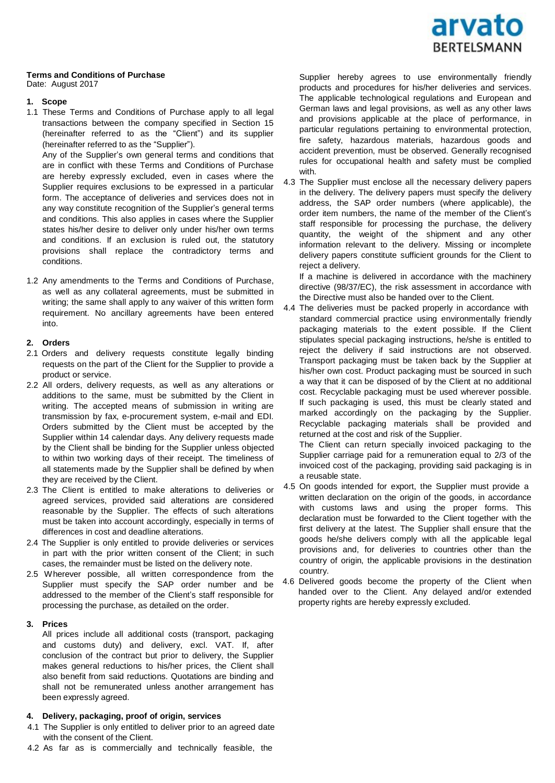

# **Terms and Conditions of Purchase**

Date: August 2017

## **1. Scope**

1.1 These Terms and Conditions of Purchase apply to all legal transactions between the company specified in Section 15 (hereinafter referred to as the "Client") and its supplier (hereinafter referred to as the "Supplier").

Any of the Supplier's own general terms and conditions that are in conflict with these Terms and Conditions of Purchase are hereby expressly excluded, even in cases where the Supplier requires exclusions to be expressed in a particular form. The acceptance of deliveries and services does not in any way constitute recognition of the Supplier's general terms and conditions. This also applies in cases where the Supplier states his/her desire to deliver only under his/her own terms and conditions. If an exclusion is ruled out, the statutory provisions shall replace the contradictory terms and conditions.

1.2 Any amendments to the Terms and Conditions of Purchase, as well as any collateral agreements, must be submitted in writing; the same shall apply to any waiver of this written form requirement. No ancillary agreements have been entered into.

#### **2. Orders**

- 2.1 Orders and delivery requests constitute legally binding requests on the part of the Client for the Supplier to provide a product or service.
- 2.2 All orders, delivery requests, as well as any alterations or additions to the same, must be submitted by the Client in writing. The accepted means of submission in writing are transmission by fax, e-procurement system, e-mail and EDI. Orders submitted by the Client must be accepted by the Supplier within 14 calendar days. Any delivery requests made by the Client shall be binding for the Supplier unless objected to within two working days of their receipt. The timeliness of all statements made by the Supplier shall be defined by when they are received by the Client.
- 2.3 The Client is entitled to make alterations to deliveries or agreed services, provided said alterations are considered reasonable by the Supplier. The effects of such alterations must be taken into account accordingly, especially in terms of differences in cost and deadline alterations.
- 2.4 The Supplier is only entitled to provide deliveries or services in part with the prior written consent of the Client; in such cases, the remainder must be listed on the delivery note.
- 2.5 Wherever possible, all written correspondence from the Supplier must specify the SAP order number and be addressed to the member of the Client's staff responsible for processing the purchase, as detailed on the order.

#### **3. Prices**

All prices include all additional costs (transport, packaging and customs duty) and delivery, excl. VAT. If, after conclusion of the contract but prior to delivery, the Supplier makes general reductions to his/her prices, the Client shall also benefit from said reductions. Quotations are binding and shall not be remunerated unless another arrangement has been expressly agreed.

# **4. Delivery, packaging, proof of origin, services**

- 4.1 The Supplier is only entitled to deliver prior to an agreed date with the consent of the Client.
- 4.2 As far as is commercially and technically feasible, the

Supplier hereby agrees to use environmentally friendly products and procedures for his/her deliveries and services. The applicable technological regulations and European and German laws and legal provisions, as well as any other laws and provisions applicable at the place of performance, in particular regulations pertaining to environmental protection, fire safety, hazardous materials, hazardous goods and accident prevention, must be observed. Generally recognised rules for occupational health and safety must be complied with.

4.3 The Supplier must enclose all the necessary delivery papers in the delivery. The delivery papers must specify the delivery address, the SAP order numbers (where applicable), the order item numbers, the name of the member of the Client's staff responsible for processing the purchase, the delivery quantity, the weight of the shipment and any other information relevant to the delivery. Missing or incomplete delivery papers constitute sufficient grounds for the Client to reject a delivery.

If a machine is delivered in accordance with the machinery directive (98/37/EC), the risk assessment in accordance with the Directive must also be handed over to the Client.

4.4 The deliveries must be packed properly in accordance with standard commercial practice using environmentally friendly packaging materials to the extent possible. If the Client stipulates special packaging instructions, he/she is entitled to reject the delivery if said instructions are not observed. Transport packaging must be taken back by the Supplier at his/her own cost. Product packaging must be sourced in such a way that it can be disposed of by the Client at no additional cost. Recyclable packaging must be used wherever possible. If such packaging is used, this must be clearly stated and marked accordingly on the packaging by the Supplier. Recyclable packaging materials shall be provided and returned at the cost and risk of the Supplier.

The Client can return specially invoiced packaging to the Supplier carriage paid for a remuneration equal to 2/3 of the invoiced cost of the packaging, providing said packaging is in a reusable state.

- 4.5 On goods intended for export, the Supplier must provide a written declaration on the origin of the goods, in accordance with customs laws and using the proper forms. This declaration must be forwarded to the Client together with the first delivery at the latest. The Supplier shall ensure that the goods he/she delivers comply with all the applicable legal provisions and, for deliveries to countries other than the country of origin, the applicable provisions in the destination country.
- 4.6 Delivered goods become the property of the Client when handed over to the Client. Any delayed and/or extended property rights are hereby expressly excluded.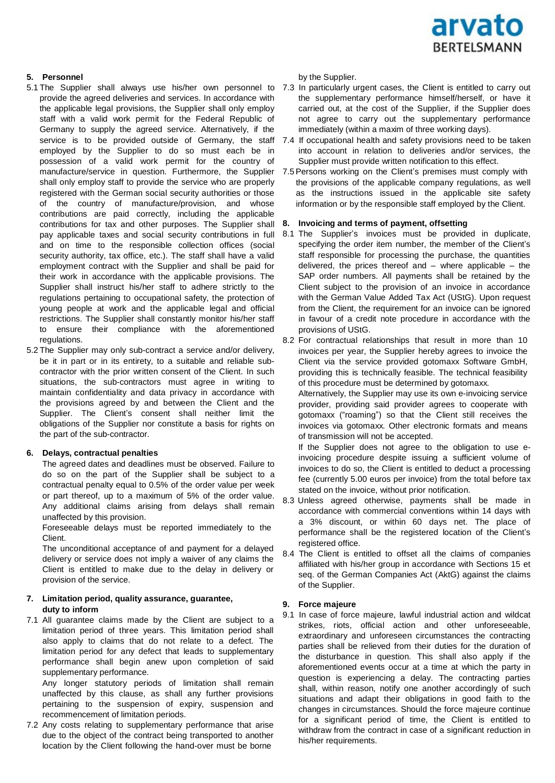

# **5. Personnel**

- 5.1 The Supplier shall always use his/her own personnel to 7.3 In particularly urgent cases, the Client is entitled to carry out provide the agreed deliveries and services. In accordance with the applicable legal provisions, the Supplier shall only employ staff with a valid work permit for the Federal Republic of Germany to supply the agreed service. Alternatively, if the employed by the Supplier to do so must each be in possession of a valid work permit for the country of shall only employ staff to provide the service who are properly registered with the German social security authorities or those of the country of manufacture/provision, and whose contributions are paid correctly, including the applicable contributions for tax and other purposes. The Supplier shall pay applicable taxes and social security contributions in full and on time to the responsible collection offices (social security authority, tax office, etc.). The staff shall have a valid employment contract with the Supplier and shall be paid for their work in accordance with the applicable provisions. The Supplier shall instruct his/her staff to adhere strictly to the regulations pertaining to occupational safety, the protection of young people at work and the applicable legal and official restrictions. The Supplier shall constantly monitor his/her staff to ensure their compliance with the aforementioned regulations.
- 5.2 The Supplier may only sub-contract a service and/or delivery, be it in part or in its entirety, to a suitable and reliable subcontractor with the prior written consent of the Client. In such situations, the sub-contractors must agree in writing to maintain confidentiality and data privacy in accordance with the provisions agreed by and between the Client and the Supplier. The Client's consent shall neither limit the obligations of the Supplier nor constitute a basis for rights on the part of the sub-contractor.

## **6. Delays, contractual penalties**

The agreed dates and deadlines must be observed. Failure to do so on the part of the Supplier shall be subject to a contractual penalty equal to 0.5% of the order value per week or part thereof, up to a maximum of 5% of the order value. Any additional claims arising from delays shall remain unaffected by this provision.

Foreseeable delays must be reported immediately to the Client.

The unconditional acceptance of and payment for a delayed delivery or service does not imply a waiver of any claims the Client is entitled to make due to the delay in delivery or provision of the service.

## **7. Limitation period, quality assurance, guarantee, duty to inform**

7.1 All guarantee claims made by the Client are subject to a limitation period of three years. This limitation period shall also apply to claims that do not relate to a defect. The limitation period for any defect that leads to supplementary performance shall begin anew upon completion of said supplementary performance.

Any longer statutory periods of limitation shall remain unaffected by this clause, as shall any further provisions pertaining to the suspension of expiry, suspension and recommencement of limitation periods.

7.2 Any costs relating to supplementary performance that arise due to the object of the contract being transported to another location by the Client following the hand-over must be borne

by the Supplier.

- the supplementary performance himself/herself, or have it carried out, at the cost of the Supplier, if the Supplier does not agree to carry out the supplementary performance immediately (within a maxim of three working days).
- service is to be provided outside of Germany, the staff 7.4 If occupational health and safety provisions need to be taken into account in relation to deliveries and/or services, the Supplier must provide written notification to this effect.
- manufacture/service in question. Furthermore, the Supplier 7.5Persons working on the Client's premises must comply with the provisions of the applicable company regulations, as well as the instructions issued in the applicable site safety information or by the responsible staff employed by the Client.

#### **8. Invoicing and terms of payment, offsetting**

- 8.1 The Supplier's invoices must be provided in duplicate, specifying the order item number, the member of the Client's staff responsible for processing the purchase, the quantities delivered, the prices thereof and – where applicable – the SAP order numbers. All payments shall be retained by the Client subject to the provision of an invoice in accordance with the German Value Added Tax Act (UStG). Upon request from the Client, the requirement for an invoice can be ignored in favour of a credit note procedure in accordance with the provisions of UStG.
- 8.2 For contractual relationships that result in more than 10 invoices per year, the Supplier hereby agrees to invoice the Client via the service provided gotomaxx Software GmbH, providing this is technically feasible. The technical feasibility of this procedure must be determined by gotomaxx.

Alternatively, the Supplier may use its own e-invoicing service provider, providing said provider agrees to cooperate with gotomaxx ("roaming") so that the Client still receives the invoices via gotomaxx. Other electronic formats and means of transmission will not be accepted.

If the Supplier does not agree to the obligation to use einvoicing procedure despite issuing a sufficient volume of invoices to do so, the Client is entitled to deduct a processing fee (currently 5.00 euros per invoice) from the total before tax stated on the invoice, without prior notification.

- 8.3 Unless agreed otherwise, payments shall be made in accordance with commercial conventions within 14 days with a 3% discount, or within 60 days net. The place of performance shall be the registered location of the Client's registered office.
- 8.4 The Client is entitled to offset all the claims of companies affiliated with his/her group in accordance with Sections 15 et seq. of the German Companies Act (AktG) against the claims of the Supplier.

#### **9. Force majeure**

9.1 In case of force majeure, lawful industrial action and wildcat strikes, riots, official action and other unforeseeable, extraordinary and unforeseen circumstances the contracting parties shall be relieved from their duties for the duration of the disturbance in question. This shall also apply if the aforementioned events occur at a time at which the party in question is experiencing a delay. The contracting parties shall, within reason, notify one another accordingly of such situations and adapt their obligations in good faith to the changes in circumstances. Should the force majeure continue for a significant period of time, the Client is entitled to withdraw from the contract in case of a significant reduction in his/her requirements.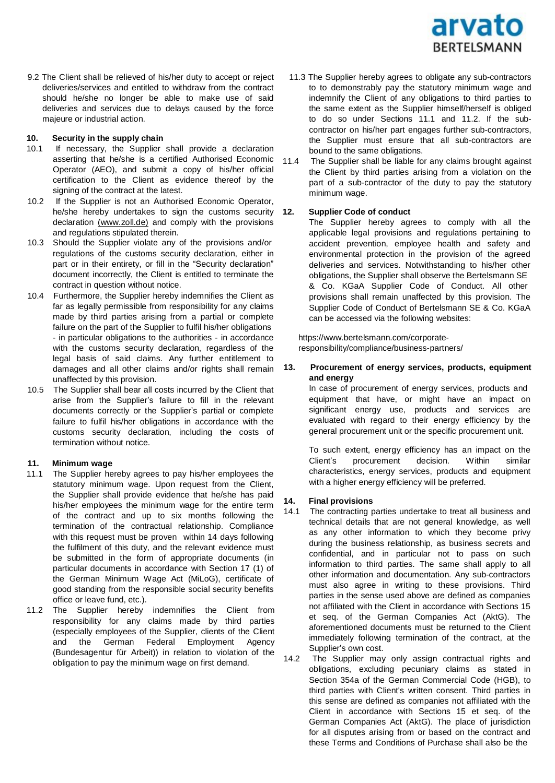

9.2 The Client shall be relieved of his/her duty to accept or reject deliveries/services and entitled to withdraw from the contract should he/she no longer be able to make use of said deliveries and services due to delays caused by the force majeure or industrial action.

#### **10. Security in the supply chain**

- 10.1 If necessary, the Supplier shall provide a declaration asserting that he/she is a certified Authorised Economic  $11.4$ Operator (AEO), and submit a copy of his/her official certification to the Client as evidence thereof by the signing of the contract at the latest.
- 10.2 If the Supplier is not an Authorised Economic Operator, he/she hereby undertakes to sign the customs security declaration (www.zoll.de) and comply with the provisions and regulations stipulated therein.
- 10.3 Should the Supplier violate any of the provisions and/or regulations of the customs security declaration, either in part or in their entirety, or fill in the "Security declaration" document incorrectly, the Client is entitled to terminate the contract in question without notice.
- 10.4 Furthermore, the Supplier hereby indemnifies the Client as far as legally permissible from responsibility for any claims made by third parties arising from a partial or complete failure on the part of the Supplier to fulfil his/her obligations - in particular obligations to the authorities - in accordance with the customs security declaration, regardless of the legal basis of said claims. Any further entitlement to damages and all other claims and/or rights shall remain unaffected by this provision.
- 10.5 The Supplier shall bear all costs incurred by the Client that arise from the Supplier's failure to fill in the relevant documents correctly or the Supplier's partial or complete failure to fulfil his/her obligations in accordance with the customs security declaration, including the costs of termination without notice.

## **11. Minimum wage**

- 11.1 The Supplier hereby agrees to pay his/her employees the statutory minimum wage. Upon request from the Client, the Supplier shall provide evidence that he/she has paid his/her employees the minimum wage for the entire term of the contract and up to six months following the termination of the contractual relationship. Compliance with this request must be proven within 14 days following the fulfilment of this duty, and the relevant evidence must be submitted in the form of appropriate documents (in particular documents in accordance with Section 17 (1) of the German Minimum Wage Act (MiLoG), certificate of good standing from the responsible social security benefits office or leave fund, etc.).
- 11.2 The Supplier hereby indemnifies the Client from responsibility for any claims made by third parties (especially employees of the Supplier, clients of the Client and the German Federal Employment Agency (Bundesagentur für Arbeit)) in relation to violation of the obligation to pay the minimum wage on first demand.
- 11.3 The Supplier hereby agrees to obligate any sub-contractors to to demonstrably pay the statutory minimum wage and indemnify the Client of any obligations to third parties to the same extent as the Supplier himself/herself is obliged to do so under Sections 11.1 and 11.2. If the subcontractor on his/her part engages further sub-contractors, the Supplier must ensure that all sub-contractors are bound to the same obligations.
- The Supplier shall be liable for any claims brought against the Client by third parties arising from a violation on the part of a sub-contractor of the duty to pay the statutory minimum wage.

## **12. Supplier Code of conduct**

The Supplier hereby agrees to comply with all the applicable legal provisions and regulations pertaining to accident prevention, employee health and safety and environmental protection in the provision of the agreed deliveries and services. Notwithstanding to his/her other obligations, the Supplier shall observe the Bertelsmann SE & Co. KGaA Supplier Code of Conduct. All other provisions shall remain unaffected by this provision. The Supplier Code of Conduct of Bertelsmann SE & Co. KGaA can be accessed via the following websites:

http[s://www.bertelsmann.com/corporate](http://www.bertelsmann.com/corporate-)responsibility/compliance/business-partners/

## **13. Procurement of energy services, products, equipment and energy**

In case of procurement of energy services, products and equipment that have, or might have an impact on significant energy use, products and services are evaluated with regard to their energy efficiency by the general procurement unit or the specific procurement unit.

To such extent, energy efficiency has an impact on the Client's procurement decision. Within similar characteristics, energy services, products and equipment with a higher energy efficiency will be preferred.

## **14. Final provisions**

14.1 The contracting parties undertake to treat all business and technical details that are not general knowledge, as well as any other information to which they become privy during the business relationship, as business secrets and confidential, and in particular not to pass on such information to third parties. The same shall apply to all other information and documentation. Any sub-contractors must also agree in writing to these provisions. Third parties in the sense used above are defined as companies not affiliated with the Client in accordance with Sections 15 et seq. of the German Companies Act (AktG). The aforementioned documents must be returned to the Client immediately following termination of the contract, at the Supplier's own cost.

14.2 The Supplier may only assign contractual rights and obligations, excluding pecuniary claims as stated in Section 354a of the German Commercial Code (HGB), to third parties with Client's written consent. Third parties in this sense are defined as companies not affiliated with the Client in accordance with Sections 15 et seq. of the German Companies Act (AktG). The place of jurisdiction for all disputes arising from or based on the contract and these Terms and Conditions of Purchase shall also be the